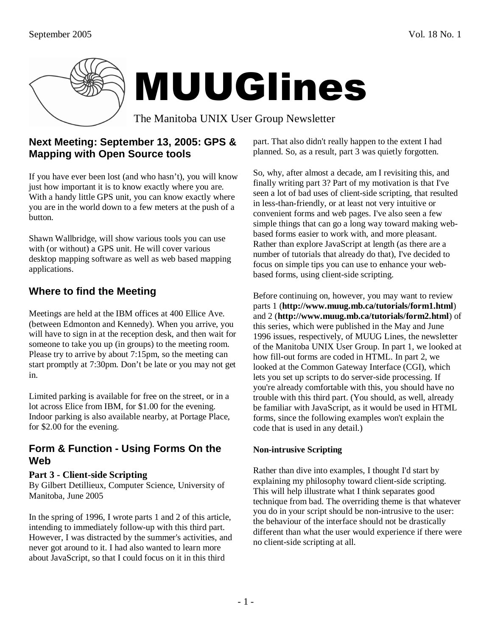

## **Next Meeting: September 13, 2005: GPS & Mapping with Open Source tools**

If you have ever been lost (and who hasn't), you will know just how important it is to know exactly where you are. With a handy little GPS unit, you can know exactly where you are in the world down to a few meters at the push of a button.

Shawn Wallbridge, will show various tools you can use with (or without) a GPS unit. He will cover various desktop mapping software as well as web based mapping applications.

# **Where to find the Meeting**

Meetings are held at the IBM offices at 400 Ellice Ave. (between Edmonton and Kennedy). When you arrive, you will have to sign in at the reception desk, and then wait for someone to take you up (in groups) to the meeting room. Please try to arrive by about 7:15pm, so the meeting can start promptly at 7:30pm. Don't be late or you may not get in.

Limited parking is available for free on the street, or in a lot across Elice from IBM, for \$1.00 for the evening. Indoor parking is also available nearby, at Portage Place, for \$2.00 for the evening.

### **Form & Function - Using Forms On the Web**

#### **Part 3 - Client-side Scripting**

By Gilbert Detillieux, Computer Science, University of Manitoba, June 2005

In the spring of 1996, I wrote parts 1 and 2 of this article, intending to immediately follow-up with this third part. However, I was distracted by the summer's activities, and never got around to it. I had also wanted to learn more about JavaScript, so that I could focus on it in this third

part. That also didn't really happen to the extent I had planned. So, as a result, part 3 was quietly forgotten.

So, why, after almost a decade, am I revisiting this, and finally writing part 3? Part of my motivation is that I've seen a lot of bad uses of client-side scripting, that resulted in less-than-friendly, or at least not very intuitive or convenient forms and web pages. I've also seen a few simple things that can go a long way toward making webbased forms easier to work with, and more pleasant. Rather than explore JavaScript at length (as there are a number of tutorials that already do that), I've decided to focus on simple tips you can use to enhance your webbased forms, using client-side scripting.

Before continuing on, however, you may want to review parts 1 (**http://www.muug.mb.ca/tutorials/form1.html**) and 2 (**http://www.muug.mb.ca/tutorials/form2.html**) of this series, which were published in the May and June 1996 issues, respectively, of MUUG Lines, the newsletter of the Manitoba UNIX User Group. In part 1, we looked at how fill-out forms are coded in HTML. In part 2, we looked at the Common Gateway Interface (CGI), which lets you set up scripts to do server-side processing. If you're already comfortable with this, you should have no trouble with this third part. (You should, as well, already be familiar with JavaScript, as it would be used in HTML forms, since the following examples won't explain the code that is used in any detail.)

#### **Non-intrusive Scripting**

Rather than dive into examples, I thought I'd start by explaining my philosophy toward client-side scripting. This will help illustrate what I think separates good technique from bad. The overriding theme is that whatever you do in your script should be non-intrusive to the user: the behaviour of the interface should not be drastically different than what the user would experience if there were no client-side scripting at all.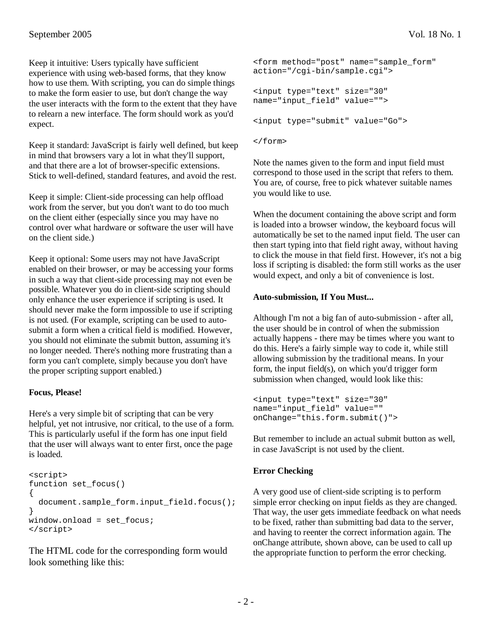Keep it intuitive: Users typically have sufficient experience with using web-based forms, that they know how to use them. With scripting, you can do simple things to make the form easier to use, but don't change the way the user interacts with the form to the extent that they have to relearn a new interface. The form should work as you'd expect.

Keep it standard: JavaScript is fairly well defined, but keep in mind that browsers vary a lot in what they'll support, and that there are a lot of browser-specific extensions. Stick to well-defined, standard features, and avoid the rest.

Keep it simple: Client-side processing can help offload work from the server, but you don't want to do too much on the client either (especially since you may have no control over what hardware or software the user will have on the client side.)

Keep it optional: Some users may not have JavaScript enabled on their browser, or may be accessing your forms in such a way that client-side processing may not even be possible. Whatever you do in client-side scripting should only enhance the user experience if scripting is used. It should never make the form impossible to use if scripting is not used. (For example, scripting can be used to autosubmit a form when a critical field is modified. However, you should not eliminate the submit button, assuming it's no longer needed. There's nothing more frustrating than a form you can't complete, simply because you don't have the proper scripting support enabled.)

#### **Focus, Please!**

Here's a very simple bit of scripting that can be very helpful, yet not intrusive, nor critical, to the use of a form. This is particularly useful if the form has one input field that the user will always want to enter first, once the page is loaded.

```
<script> 
function set_focus() 
{ 
  document.sample form.input field.focus();
} 
window.onload = set_focus; 
</script>
```
The HTML code for the corresponding form would look something like this:

```
<form method="post" name="sample_form" 
action="/cgi-bin/sample.cgi"> 
<input type="text" size="30" 
name="input_field" value=""> 
<input type="submit" value="Go">
```

```
</form>
```
Note the names given to the form and input field must correspond to those used in the script that refers to them. You are, of course, free to pick whatever suitable names you would like to use.

When the document containing the above script and form is loaded into a browser window, the keyboard focus will automatically be set to the named input field. The user can then start typing into that field right away, without having to click the mouse in that field first. However, it's not a big loss if scripting is disabled: the form still works as the user would expect, and only a bit of convenience is lost.

#### **Auto-submission, If You Must...**

Although I'm not a big fan of auto-submission - after all, the user should be in control of when the submission actually happens - there may be times where you want to do this. Here's a fairly simple way to code it, while still allowing submission by the traditional means. In your form, the input field(s), on which you'd trigger form submission when changed, would look like this:

```
<input type="text" size="30" 
name="input_field" value="" 
onChange="this.form.submit()">
```
But remember to include an actual submit button as well, in case JavaScript is not used by the client.

#### **Error Checking**

A very good use of client-side scripting is to perform simple error checking on input fields as they are changed. That way, the user gets immediate feedback on what needs to be fixed, rather than submitting bad data to the server, and having to reenter the correct information again. The onChange attribute, shown above, can be used to call up the appropriate function to perform the error checking.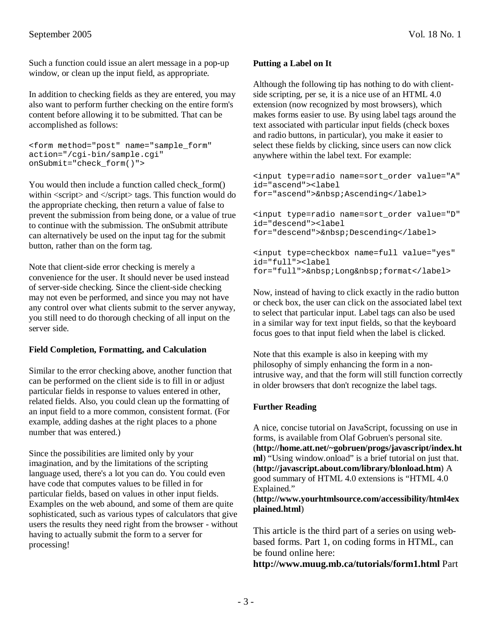Such a function could issue an alert message in a pop-up window, or clean up the input field, as appropriate.

In addition to checking fields as they are entered, you may also want to perform further checking on the entire form's content before allowing it to be submitted. That can be accomplished as follows:

```
<form method="post" name="sample_form" 
action="/cgi-bin/sample.cgi" 
onSubmit="check_form()">
```
You would then include a function called check form() within <script> and </script> tags. This function would do the appropriate checking, then return a value of false to prevent the submission from being done, or a value of true to continue with the submission. The onSubmit attribute can alternatively be used on the input tag for the submit button, rather than on the form tag.

Note that client-side error checking is merely a convenience for the user. It should never be used instead of server-side checking. Since the client-side checking may not even be performed, and since you may not have any control over what clients submit to the server anyway, you still need to do thorough checking of all input on the server side.

#### **Field Completion, Formatting, and Calculation**

Similar to the error checking above, another function that can be performed on the client side is to fill in or adjust particular fields in response to values entered in other, related fields. Also, you could clean up the formatting of an input field to a more common, consistent format. (For example, adding dashes at the right places to a phone number that was entered.)

Since the possibilities are limited only by your imagination, and by the limitations of the scripting language used, there's a lot you can do. You could even have code that computes values to be filled in for particular fields, based on values in other input fields. Examples on the web abound, and some of them are quite sophisticated, such as various types of calculators that give users the results they need right from the browser - without having to actually submit the form to a server for processing!

#### **Putting a Label on It**

Although the following tip has nothing to do with clientside scripting, per se, it is a nice use of an HTML 4.0 extension (now recognized by most browsers), which makes forms easier to use. By using label tags around the text associated with particular input fields (check boxes and radio buttons, in particular), you make it easier to select these fields by clicking, since users can now click anywhere within the label text. For example:

```
<input type=radio name=sort_order value="A" 
id="ascend"><label 
for="ascend"> Ascending</label>
```
<input type=radio name=sort\_order value="D" id="descend"><label for="descend">&nbsp;Descending</label>

```
<input type=checkbox name=full value="yes" 
id="full"><label 
for="full"> Long format</label>
```
Now, instead of having to click exactly in the radio button or check box, the user can click on the associated label text to select that particular input. Label tags can also be used in a similar way for text input fields, so that the keyboard focus goes to that input field when the label is clicked.

Note that this example is also in keeping with my philosophy of simply enhancing the form in a nonintrusive way, and that the form will still function correctly in older browsers that don't recognize the label tags.

#### **Further Reading**

A nice, concise tutorial on JavaScript, focussing on use in forms, is available from Olaf Gobruen's personal site. (**http://home.att.net/~gobruen/progs/javascript/index.ht ml**) "Using window.onload" is a brief tutorial on just that. (**http://javascript.about.com/library/blonload.htm**) A good summary of HTML 4.0 extensions is "HTML 4.0 Explained."

(**http://www.yourhtmlsource.com/accessibility/html4ex plained.html**)

This article is the third part of a series on using webbased forms. Part 1, on coding forms in HTML, can be found online here:

**http://www.muug.mb.ca/tutorials/form1.html** Part